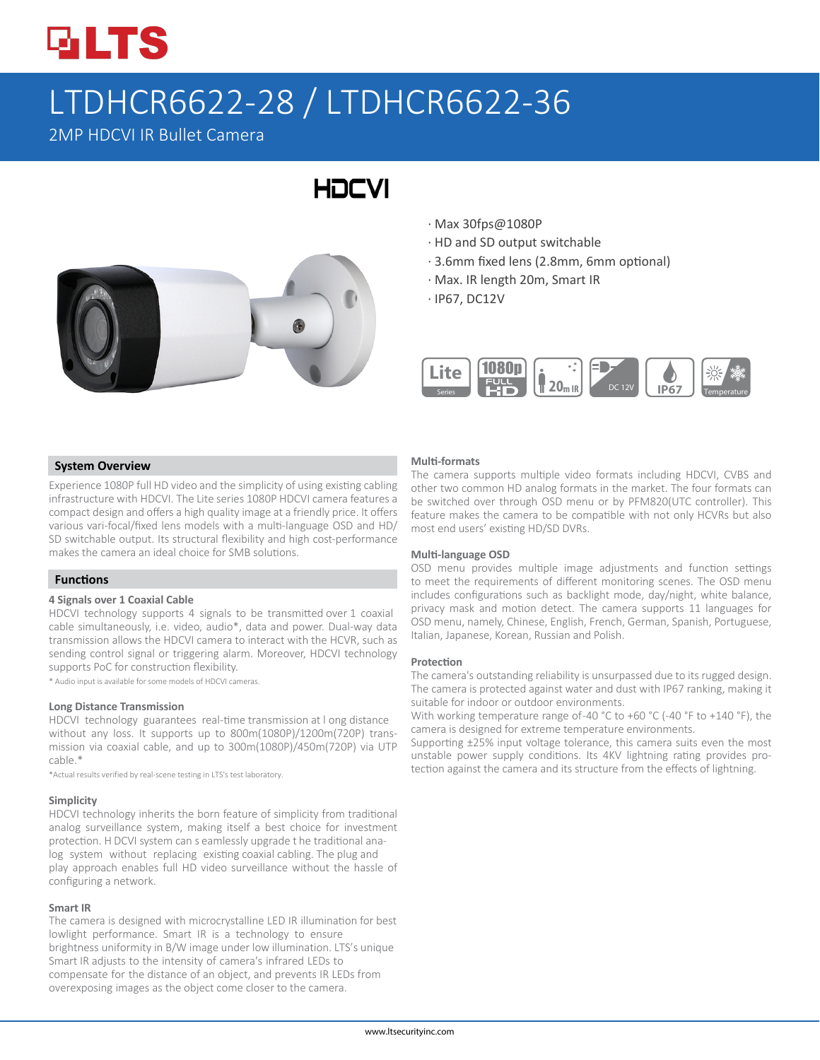

# LTDHCR6622-28 / LTDHCR6622-36

**HDCVI** 

2MP HDCVI IR Bullet Camera



# · Max 30fps@1080P

- · HD and SD output switchable
- · 3.6mm fixed lens (2.8mm, 6mm optional)
- · Max. IR length 20m, Smart IR
- · IP67, DC12V



### **System Overview**

Experience 1080P full HD video and the simplicity of using existing cabling infrastructure with HDCVI. The Lite series 1080P HDCVI camera features a compact design and offers a high quality image at a friendly price. It offers various vari-focal/fixed lens models with a multi-language OSD and HD/ SD switchable output. Its structural flexibility and high cost-performance makes the camera an ideal choice for SMB solutions.

## **Functions**

#### **4 Signals over 1 Coaxial Cable**

HDCVI technology supports 4 signals to be transmitted over 1 coaxial cable simultaneously, i.e. video, audio\*, data and power. Dual-way data transmission allows the HDCVI camera to interact with the HCVR, such as sending control signal or triggering alarm. Moreover, HDCVI technology supports PoC for construction flexibility.

\* Audio input is available for some models of HDCVI cameras.

#### **Long Distance Transmission**

HDCVI technology guarantees real-time transmission at l ong distance without any loss. It supports up to 800m(1080P)/1200m(720P) transmission via coaxial cable, and up to 300m(1080P)/450m(720P) via UTP cable.\*

\*Actual results verified by real-scene testing in LTS's test laboratory.

#### **Simplicity**

HDCVI technology inherits the born feature of simplicity from traditional analog surveillance system, making itself a best choice for investment protection. H DCVI system can s eamlessly upgrade t he traditional analog system without replacing existing coaxial cabling. The plug and play approach enables full HD video surveillance without the hassle of configuring a network.

#### **Smart IR**

The camera is designed with microcrystalline LED IR illumination for best lowlight performance. Smart IR is a technology to ensure brightness uniformity in B/W image under low illumination. LTS's unique Smart IR adjusts to the intensity of camera's infrared LEDs to compensate for the distance of an object, and prevents IR LEDs from overexposing images as the object come closer to the camera.

#### **Multi-formats**

The camera supports multiple video formats including HDCVI, CVBS and other two common HD analog formats in the market. The four formats can be switched over through OSD menu or by PFM820(UTC controller). This feature makes the camera to be compatible with not only HCVRs but also most end users' existing HD/SD DVRs.

#### **Multi-language OSD**

OSD menu provides multiple image adjustments and function settings to meet the requirements of different monitoring scenes. The OSD menu includes configurations such as backlight mode, day/night, white balance, privacy mask and motion detect. The camera supports 11 languages for OSD menu, namely, Chinese, English, French, German, Spanish, Portuguese, Italian, Japanese, Korean, Russian and Polish.

#### **Protection**

The camera's outstanding reliability is unsurpassed due to its rugged design. The camera is protected against water and dust with IP67 ranking, making it suitable for indoor or outdoor environments.

With working temperature range of-40 °C to +60 °C (-40 °F to +140 °F), the camera is designed for extreme temperature environments.

Supporting ±25% input voltage tolerance, this camera suits even the most unstable power supply conditions. Its 4KV lightning rating provides protection against the camera and its structure from the effects of lightning.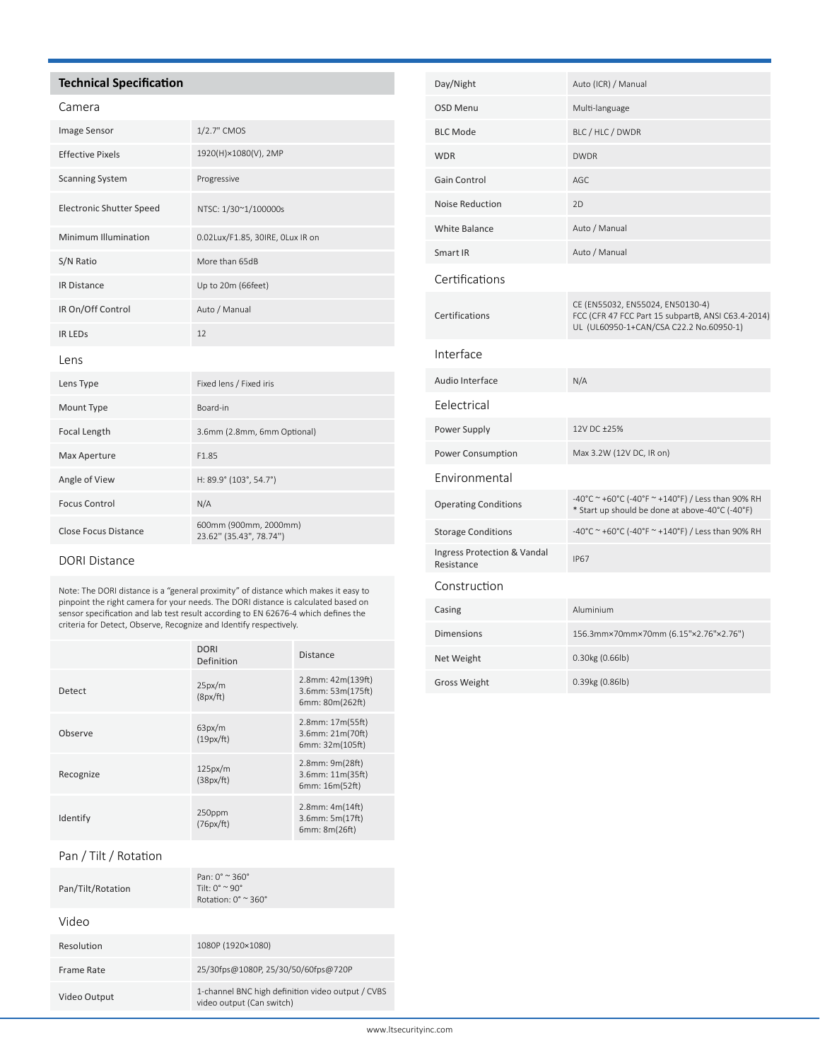# **Technical Specification**

| ame<br>Я<br>г |
|---------------|
|---------------|

| <b>Image Sensor</b>             | 1/2.7" CMOS                                      |
|---------------------------------|--------------------------------------------------|
| <b>Effective Pixels</b>         | 1920(H)×1080(V), 2MP                             |
| <b>Scanning System</b>          | Progressive                                      |
| <b>Electronic Shutter Speed</b> | NTSC: 1/30~1/100000s                             |
| Minimum Illumination            | 0.02Lux/F1.85, 30IRE, OLux IR on                 |
| S/N Ratio                       | More than 65dB                                   |
| <b>IR Distance</b>              | Up to 20m (66feet)                               |
| IR On/Off Control               | Auto / Manual                                    |
| <b>IR LEDS</b>                  | 12                                               |
| lens                            |                                                  |
| Lens Type                       | Fixed lens / Fixed iris                          |
| Mount Type                      | Board-in                                         |
| Focal Length                    | 3.6mm (2.8mm, 6mm Optional)                      |
| Max Aperture                    | F1.85                                            |
| Angle of View                   | H: 89.9° (103°, 54.7°)                           |
| <b>Focus Control</b>            | N/A                                              |
| <b>Close Focus Distance</b>     | 600mm (900mm, 2000mm)<br>23.62" (35.43", 78.74") |

# DORI Distance

Note: The DORI distance is a "general proximity" of distance which makes it easy to pinpoint the right camera for your needs. The DORI distance is calculated based on sensor specification and lab test result according to EN 62676-4 which defines the criteria for Detect, Observe, Recognize and Identify respectively.

|           | <b>DORI</b><br>Definition | <b>Distance</b>                                                |
|-----------|---------------------------|----------------------------------------------------------------|
| Detect    | 25px/m<br>(8px/ft)        | $2.8$ mm: $42m(139ft)$<br>3.6mm: 53m(175ft)<br>6mm: 80m(262ft) |
| Observe   | 63px/m<br>(19px/ft)       | 2.8mm: 17m(55ft)<br>3.6mm: 21m(70ft)<br>6mm: 32m(105ft)        |
| Recognize | 125px/m<br>(38px/ft)      | 2.8mm: 9m(28ft)<br>3.6mm: 11m(35ft)<br>6mm: 16m(52ft)          |
| Identify  | 250ppm<br>(76px/ft)       | $2.8$ mm: $4m(14ft)$<br>3.6mm: 5m(17ft)<br>6mm: 8m(26ft)       |

# Pan / Tilt / Rotation

| Pan/Tilt/Rotation | $Pan: 0^{\circ} \approx 360^{\circ}$<br>Tilt: $0^{\circ} \approx 90^{\circ}$<br>Rotation: $0^\circ \approx 360^\circ$ |
|-------------------|-----------------------------------------------------------------------------------------------------------------------|
| Video             |                                                                                                                       |
| Resolution        | 1080P (1920×1080)                                                                                                     |
| Frame Rate        | 25/30fps@1080P, 25/30/50/60fps@720P                                                                                   |
| Video Output      | 1-channel BNC high definition video output / CVBS<br>video output (Can switch)                                        |

| Day/Night                                 | Auto (ICR) / Manual                                                                                                               |
|-------------------------------------------|-----------------------------------------------------------------------------------------------------------------------------------|
| <b>OSD Menu</b>                           | Multi-language                                                                                                                    |
| <b>BLC Mode</b>                           | BLC / HLC / DWDR                                                                                                                  |
| <b>WDR</b>                                | <b>DWDR</b>                                                                                                                       |
| Gain Control                              | AGC                                                                                                                               |
| Noise Reduction                           | 2D                                                                                                                                |
| <b>White Balance</b>                      | Auto / Manual                                                                                                                     |
| Smart IR                                  | Auto / Manual                                                                                                                     |
| Certifications                            |                                                                                                                                   |
| Certifications                            | CE (EN55032, EN55024, EN50130-4)<br>FCC (CFR 47 FCC Part 15 subpartB, ANSI C63.4-2014)<br>UL (UL60950-1+CAN/CSA C22.2 No.60950-1) |
| Interface                                 |                                                                                                                                   |
| Audio Interface                           | N/A                                                                                                                               |
| Eelectrical                               |                                                                                                                                   |
| Power Supply                              | 12V DC +25%                                                                                                                       |
| Power Consumption                         | Max 3.2W (12V DC, IR on)                                                                                                          |
| Environmental                             |                                                                                                                                   |
| <b>Operating Conditions</b>               | -40°C ~ +60°C (-40°F ~ +140°F) / Less than 90% RH<br>* Start up should be done at above-40°C (-40°F)                              |
| <b>Storage Conditions</b>                 | -40°C ~ +60°C (-40°F ~ +140°F) / Less than 90% RH                                                                                 |
| Ingress Protection & Vandal<br>Resistance | <b>IP67</b>                                                                                                                       |
| Construction                              |                                                                                                                                   |
| Casing                                    | Aluminium                                                                                                                         |
| <b>Dimensions</b>                         | 156.3mm×70mm×70mm (6.15"×2.76"×2.76")                                                                                             |
| Net Weight                                | 0.30kg (0.66lb)                                                                                                                   |
| <b>Gross Weight</b>                       | 0.39kg (0.86lb)                                                                                                                   |